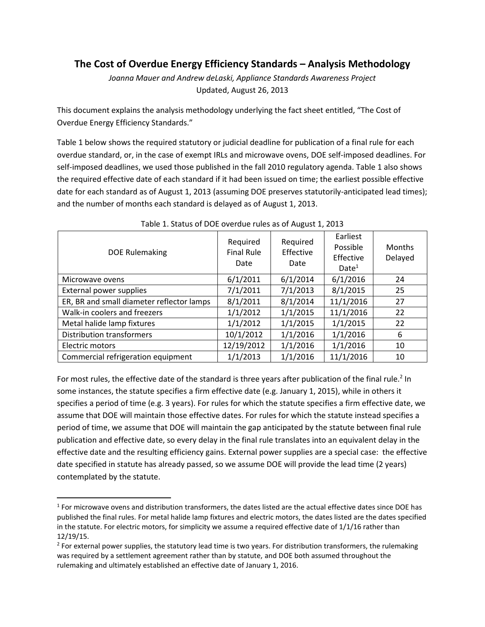## **The Cost of Overdue Energy Efficiency Standards – Analysis Methodology**

*Joanna Mauer and Andrew deLaski, Appliance Standards Awareness Project* Updated, August 26, 2013

This document explains the analysis methodology underlying the fact sheet entitled, "The Cost of Overdue Energy Efficiency Standards."

Table 1 below shows the required statutory or judicial deadline for publication of a final rule for each overdue standard, or, in the case of exempt IRLs and microwave ovens, DOE self-imposed deadlines. For self-imposed deadlines, we used those published in the fall 2010 regulatory agenda. Table 1 also shows the required effective date of each standard if it had been issued on time; the earliest possible effective date for each standard as of August 1, 2013 (assuming DOE preserves statutorily-anticipated lead times); and the number of months each standard is delayed as of August 1, 2013.

| <b>DOE Rulemaking</b>                     | Required<br><b>Final Rule</b><br>Date | Required<br>Effective<br>Date | Earliest<br>Possible<br>Effective<br>Date <sup>1</sup> | <b>Months</b><br>Delayed |
|-------------------------------------------|---------------------------------------|-------------------------------|--------------------------------------------------------|--------------------------|
| Microwave ovens                           | 6/1/2011                              | 6/1/2014                      | 6/1/2016                                               | 24                       |
| External power supplies                   | 7/1/2011                              | 7/1/2013                      | 8/1/2015                                               | 25                       |
| ER, BR and small diameter reflector lamps | 8/1/2011                              | 8/1/2014                      | 11/1/2016                                              | 27                       |
| Walk-in coolers and freezers              | 1/1/2012                              | 1/1/2015                      | 11/1/2016                                              | 22                       |
| Metal halide lamp fixtures                | 1/1/2012                              | 1/1/2015                      | 1/1/2015                                               | 22                       |
| <b>Distribution transformers</b>          | 10/1/2012                             | 1/1/2016                      | 1/1/2016                                               | 6                        |
| Electric motors                           | 12/19/2012                            | 1/1/2016                      | 1/1/2016                                               | 10                       |
| Commercial refrigeration equipment        | 1/1/2013                              | 1/1/2016                      | 11/1/2016                                              | 10                       |

## Table 1. Status of DOE overdue rules as of August 1, 2013

For most rules, the effective date of the standard is three years after publication of the final rule.<sup>2</sup> In some instances, the statute specifies a firm effective date (e.g. January 1, 2015), while in others it specifies a period of time (e.g. 3 years). For rules for which the statute specifies a firm effective date, we assume that DOE will maintain those effective dates. For rules for which the statute instead specifies a period of time, we assume that DOE will maintain the gap anticipated by the statute between final rule publication and effective date, so every delay in the final rule translates into an equivalent delay in the effective date and the resulting efficiency gains. External power supplies are a special case: the effective date specified in statute has already passed, so we assume DOE will provide the lead time (2 years) contemplated by the statute.

 $\overline{a}$ 

 $1$  For microwave ovens and distribution transformers, the dates listed are the actual effective dates since DOE has published the final rules. For metal halide lamp fixtures and electric motors, the dates listed are the dates specified in the statute. For electric motors, for simplicity we assume a required effective date of 1/1/16 rather than 12/19/15.

<sup>&</sup>lt;sup>2</sup> For external power supplies, the statutory lead time is two years. For distribution transformers, the rulemaking was required by a settlement agreement rather than by statute, and DOE both assumed throughout the rulemaking and ultimately established an effective date of January 1, 2016.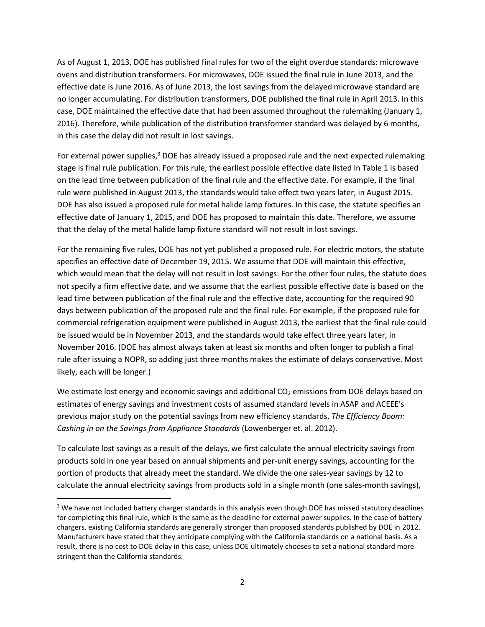As of August 1, 2013, DOE has published final rules for two of the eight overdue standards: microwave ovens and distribution transformers. For microwaves, DOE issued the final rule in June 2013, and the effective date is June 2016. As of June 2013, the lost savings from the delayed microwave standard are no longer accumulating. For distribution transformers, DOE published the final rule in April 2013. In this case, DOE maintained the effective date that had been assumed throughout the rulemaking (January 1, 2016). Therefore, while publication of the distribution transformer standard was delayed by 6 months, in this case the delay did not result in lost savings.

For external power supplies,<sup>3</sup> DOE has already issued a proposed rule and the next expected rulemaking stage is final rule publication. For this rule, the earliest possible effective date listed in Table 1 is based on the lead time between publication of the final rule and the effective date. For example, if the final rule were published in August 2013, the standards would take effect two years later, in August 2015. DOE has also issued a proposed rule for metal halide lamp fixtures. In this case, the statute specifies an effective date of January 1, 2015, and DOE has proposed to maintain this date. Therefore, we assume that the delay of the metal halide lamp fixture standard will not result in lost savings.

For the remaining five rules, DOE has not yet published a proposed rule. For electric motors, the statute specifies an effective date of December 19, 2015. We assume that DOE will maintain this effective, which would mean that the delay will not result in lost savings. For the other four rules, the statute does not specify a firm effective date, and we assume that the earliest possible effective date is based on the lead time between publication of the final rule and the effective date, accounting for the required 90 days between publication of the proposed rule and the final rule. For example, if the proposed rule for commercial refrigeration equipment were published in August 2013, the earliest that the final rule could be issued would be in November 2013, and the standards would take effect three years later, in November 2016. (DOE has almost always taken at least six months and often longer to publish a final rule after issuing a NOPR, so adding just three months makes the estimate of delays conservative. Most likely, each will be longer.)

We estimate lost energy and economic savings and additional  $CO<sub>2</sub>$  emissions from DOE delays based on estimates of energy savings and investment costs of assumed standard levels in ASAP and ACEEE's previous major study on the potential savings from new efficiency standards, *The Efficiency Boom: Cashing in on the Savings from Appliance Standards* (Lowenberger et. al. 2012).

To calculate lost savings as a result of the delays, we first calculate the annual electricity savings from products sold in one year based on annual shipments and per-unit energy savings, accounting for the portion of products that already meet the standard. We divide the one sales-year savings by 12 to calculate the annual electricity savings from products sold in a single month (one sales-month savings),

 $\overline{a}$ 

<sup>&</sup>lt;sup>3</sup> We have not included battery charger standards in this analysis even though DOE has missed statutory deadlines for completing this final rule, which is the same as the deadline for external power supplies. In the case of battery chargers, existing California standards are generally stronger than proposed standards published by DOE in 2012. Manufacturers have stated that they anticipate complying with the California standards on a national basis. As a result, there is no cost to DOE delay in this case, unless DOE ultimately chooses to set a national standard more stringent than the California standards.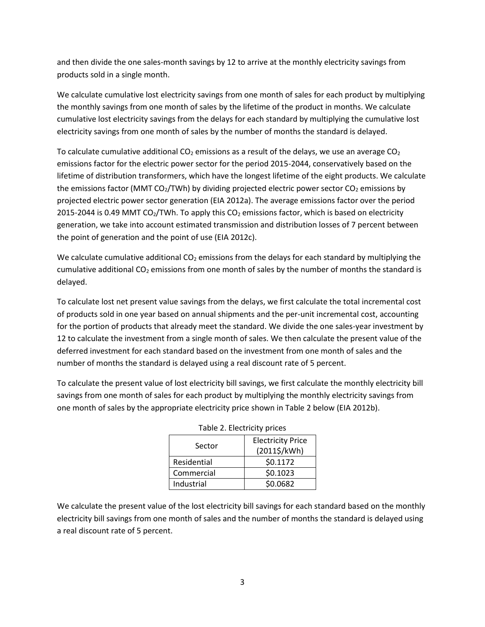and then divide the one sales-month savings by 12 to arrive at the monthly electricity savings from products sold in a single month.

We calculate cumulative lost electricity savings from one month of sales for each product by multiplying the monthly savings from one month of sales by the lifetime of the product in months. We calculate cumulative lost electricity savings from the delays for each standard by multiplying the cumulative lost electricity savings from one month of sales by the number of months the standard is delayed.

To calculate cumulative additional  $CO<sub>2</sub>$  emissions as a result of the delays, we use an average  $CO<sub>2</sub>$ emissions factor for the electric power sector for the period 2015-2044, conservatively based on the lifetime of distribution transformers, which have the longest lifetime of the eight products. We calculate the emissions factor (MMT  $CO<sub>2</sub>/TWh$ ) by dividing projected electric power sector  $CO<sub>2</sub>$  emissions by projected electric power sector generation (EIA 2012a). The average emissions factor over the period 2015-2044 is 0.49 MMT CO<sub>2</sub>/TWh. To apply this CO<sub>2</sub> emissions factor, which is based on electricity generation, we take into account estimated transmission and distribution losses of 7 percent between the point of generation and the point of use (EIA 2012c).

We calculate cumulative additional  $CO<sub>2</sub>$  emissions from the delays for each standard by multiplying the cumulative additional  $CO<sub>2</sub>$  emissions from one month of sales by the number of months the standard is delayed.

To calculate lost net present value savings from the delays, we first calculate the total incremental cost of products sold in one year based on annual shipments and the per-unit incremental cost, accounting for the portion of products that already meet the standard. We divide the one sales-year investment by 12 to calculate the investment from a single month of sales. We then calculate the present value of the deferred investment for each standard based on the investment from one month of sales and the number of months the standard is delayed using a real discount rate of 5 percent.

To calculate the present value of lost electricity bill savings, we first calculate the monthly electricity bill savings from one month of sales for each product by multiplying the monthly electricity savings from one month of sales by the appropriate electricity price shown in Table 2 below (EIA 2012b).

| Sector      | <b>Electricity Price</b><br>(2011\$/kWh) |  |  |
|-------------|------------------------------------------|--|--|
| Residential | \$0.1172                                 |  |  |
| Commercial  | \$0.1023                                 |  |  |
| Industrial  | \$0.0682                                 |  |  |

|  | Table 2. Electricity prices |  |
|--|-----------------------------|--|
|  |                             |  |

We calculate the present value of the lost electricity bill savings for each standard based on the monthly electricity bill savings from one month of sales and the number of months the standard is delayed using a real discount rate of 5 percent.